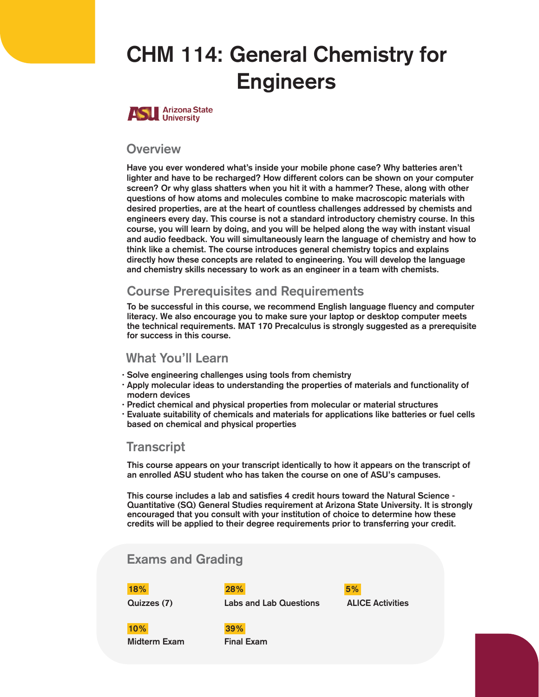# **CHM 114: General Chemistry for Engineers**



#### **Overview**

Have you ever wondered what's inside your mobile phone case? Why batteries aren't lighter and have to be recharged? How different colors can be shown on your computer screen? Or why glass shatters when you hit it with a hammer? These, along with other questions of how atoms and molecules combine to make macroscopic materials with desired properties, are at the heart of countless challenges addressed by chemists and engineers every day. This course is not a standard introductory chemistry course. In this course, you will learn by doing, and you will be helped along the way with instant visual and audio feedback. You will simultaneously learn the language of chemistry and how to think like a chemist. The course introduces general chemistry topics and explains directly how these concepts are related to engineering. You will develop the language and chemistry skills necessary to work as an engineer in a team with chemists.

### Course Prerequis**I**tes and Requirements

To be successful in this course, we recommend English language fluency and computer literacy. We also encourage you to make sure your laptop or desktop computer meets the technical requirements. MAT 170 **Precalculus** is strongly suggested as a prerequisite for success in this course.

### What You'll Learn

- Solve engineering challenges using tools from chemistry
- Apply molecular ideas to understanding the properties of materials and functionality of modern devices
- · Predict chemical and physical properties from molecular or material structures
- $\cdot$  Evaluate suitability of chemicals and materials for applications like batteries or fuel cells based on chemical and physical properties

### **Transcript**

This course appears on your transcript identically to how it appears on the transcript of an enrolled ASU student who has taken the course on one of ASU's campuses.

This course includes a lab and satisfies 4 credit hours toward the Natural Science - Quantitative (SQ) General Studies requirement at Arizona State University. It is strongly encouraged that you consult with your institution of choice to determine how these credits will be applied to their degree requirements prior to transferring your credit.

## Exams and Grading

18% 28%

Quizzes (7) Labs and Lab Questions

ALICE Activities 5%

10% 39%

Midterm Exam Final Exam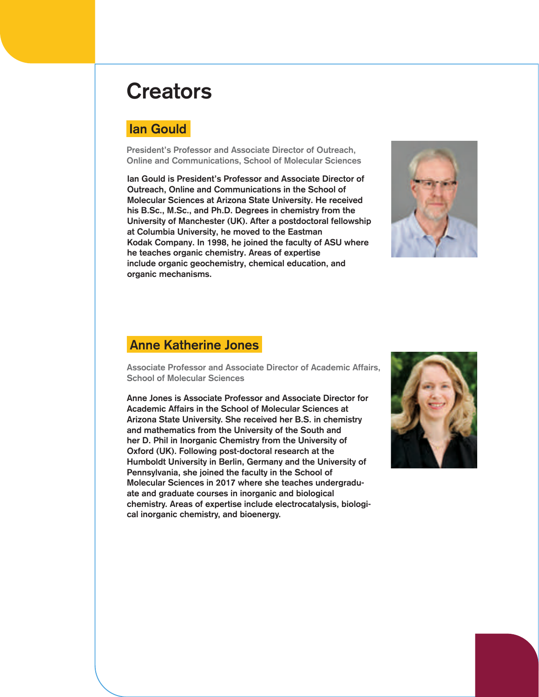# **Creators**

### Ian Gould

President's Professor and Associate Director of Outreach, **Online and Communications, School of Molecular Sciences** 

Ian Gould is President's Professor and Associate Director of Outreach, Online and Communications in the School of Molecular Sciences at Arizona State University. He received his B.Sc., M.Sc., and Ph.D. Degrees in chemistry from the University of Manchester (UK). After a postdoctoral fellowship at Columbia University, he moved to the Eastman Kodak Company. In 1998, he joined the faculty of ASU where he teaches organic chemistry. Areas of expertise include organic geochemistry, chemical education, and organic mechanisms.



### Anne Katherine Jones

Associate Professor and Associate Director of Academic Affairs, School of Molecular Sciences

Anne Jones is Associate Professor and Associate Director for Academic Affairs in the School of Molecular Sciences at Arizona State University. She received her B.S. in chemistry and mathematics from the University of the South and her D. Phil in Inorganic Chemistry from the University of Oxford (UK). Following post-doctoral research at the Humboldt University in Berlin, Germany and the University of Pennsylvania, she joined the faculty in the School of Molecular Sciences in 2017 where she teaches undergraduate and graduate courses in inorganic and biological chemistry. Areas of expertise include electrocatalysis, biological inorganic chemistry, and bioenergy.